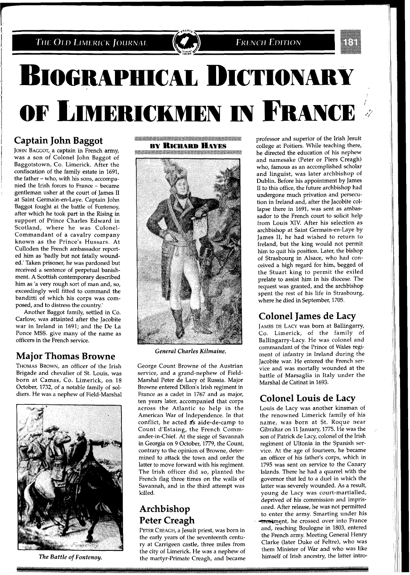**BIOGRAPHICAL DICTIONARY** OF LIMERICKMEN IN FRANCE

## **Captain John Baggot**

JOHN BAGGOT, a captain in French army, was a son of Colonel John Baggot of Baggotstown, Co. Limerick. After the confiscation of the family estate in 1691, the father - who, with his sons, accompanied the Irish forces to France - became gentleman usher at the court of James I1 at Saint Germain-en-Laye. Captain John Baggot fought at the battle of Fontenoy, after which he took part in the Rising in support of Prince Charles Edward in Scotland, where he was Colonel-Commandant of a cavalry company known as the Prince's Hussars. At Culloden the French ambassador reported him as 'badly but not fatally wounded.' Taken prisoner, he was pardoned but received a sentence of perpetual banishment. A Scottish contemporary described him as 'a very rough sort of man and, so, exceedingly well fitted to command the banditti of which his corps was composed, and to distress the country.'

Another Baggot family, settled in Co. Carlow, was attainted after the Jacobite war in Ireland in 1691; and the De La Ponce MSS. give many of the name as officers in the French service.

## **Major Thomas Browne**

THOMAS BROWN, an officer of the Irish Brigade and chevalier of St. Louis, was born at Camas, Co. Limerick, on 18 October, 1732, of a notable family of soldiers. He was a nephew of Field-Marshal



*The Battle of Fontenoy.* 

**Market Allen and Allen and Allen and Allen and Allen and Allen and Allen and Allen and Allen and Allen and All BY RICHARD HAYES** 



*General Charles Kilmaine.* 

George Count Browne of the Austrian service, and a grand-nephew of Field-Marshal Peter de Lacy of Russia. Major Browne entered Dillon's Irish regiment in France as a cadet in 1767 and as major, ten years later, accompanied that corps across the Atlantic to help in the American War of Independence. In that conflict, he acted as aide-de-camp to Count d'Estaing, the French Commander-in-Chief. At the siege of Savannah in Georgia on 9 October, 1779, the Count, contrary to the opinion of Browne, determined to attack the town and order the latter to move forward with his regiment. The Irish officer did so, planted the French flag three times on the walls of Savannah, and in the third attempt was killed.

## **Archbishop Peter Creagh**

PETER CREAGH, a Jesuit priest, was born in the early years of the seventeenth century at Carrigeen castle, three miles from the city of Limerick. He was a nephew of the martyr-Primate Creagh, and became

professor and superior of the Irish Jesuit college at Poitiers. While teaching there, he directed the education of his nephew and namesake (Peter or Piers Creagh) who, famous as an accomplished scholar and linguist, was later archbishop of Dublin. Before his appointment by James I1 to this office, the future archbishop had undergone much privation and persecution in Ireland and, after the Jacobite collapse there in 1691, was sent as ambassador to the French court to solicit help from Louis XIV. After his selection as archbishop at Saint Germain-en-Laye by James 11, he had wished to return to Ireland, but the king would not permit him to quit his position. Later, the bishop of Strasbourg in Alsace, who had conceived a high regard for him, begged of the Stuart king to permit the exiled prelate to assist him in his diocese. The request was granted, and the archbishop spent the rest of his life in Strasbourg, where he died in September, 1705.

**FRENCH EDITION** 

# **Colonel James de Lacy**

JAMES DE LACY was born at Ballingarry, Co. Limerick, of the family of Ballingarry-Lacy. He was colonel and commandant of the Prince of Wales regiment of infantry in Ireland during the Jacobite war. He entered the French service and was mortally wounded at the battle of Marsaglia in Italy under the Marshal de Catinat in 1693.

# **Colonel Louis de Lacy**

Louis de Lacy was another kinsman of the renowned Limerick family of his name, was born at St. Roque near Gibraltar on 11 January, 1775. He was the son of Patrick de Lacy, colonel of the Irish regiment of Ultonia in the Spanish service. At the age of fourteen, he became an officer of his father's corps, which in 1795 was sent on service to the Canary Islands. There he had a quarrel with the governor that led to a duel in which the latter was severely wounded. As a result, young de Lacy was court-martialled, deprived of his commission and imprisoned. After release, he was not permitted to enter the army. Smarting under his treatingnt, he crossed over into France and, reaching Boulogne in 1803, entered the French army. Meeting General Henry Clarke (later Duke of Feltre), who was them Minister of War and who was like himself of Irish ancestry, the latter intro-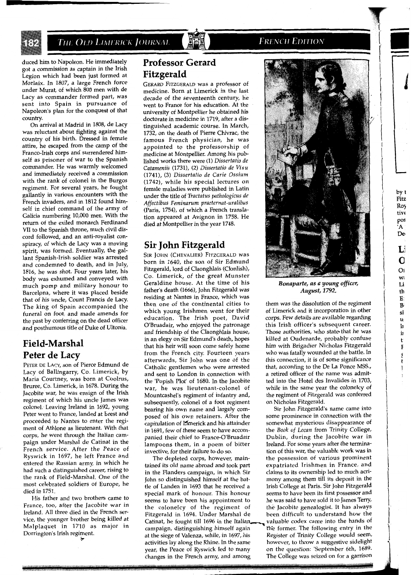

duced him to Napoleon. He immediately got a commission as captain in the Irish Legion which had been just formed at Morlaix. In 1807, a large French force under Murat, of which 800 men with de Lacy as commander formed part, was sent into Spain in pursuance of Napoleon's plan for the conquest of that country.

On arrival at Madrid in 1808, de Lacy was reluctant about fighting against the country of his birth. Dressed in female attire, he escaped from the camp of the Franco-Irish corps and surrendered himself as prisoner of war to the Spanish commander. He was warmly welcomed and immediately received a commission with the rank of colonel in the Burgos regiment. For several years, he fought gallantly in various encounters with the French invaders, and in 1812 found himself in chief command of the army of Galicia numbering 10,000 men. With the return of the exiled monarch Ferdinand VII to the Spanish throne, much civil discord followed, and an anti-royalist conspiracy, of which de Lacy was a moving spirit, was formed. Eventually, the gallant Spanish-Irish soldier was arrested and condemned to death, and in July, 1816, he was shot. Four years later, his body was exhumed and conveyed with much pomp and military honour to Barcelpna, where it was placed beside that of his uncle, Count Francis de Lacy. The king of Spain accompanied the funeral on foot, and made amends for the past by conferring on the dead officer and posthumous title of Duke of Ultonia.

## **Field-Marshal Peter de Lacy**

PETER DE LACY, son of Pierce Edmund de Lacy of Ballingarry, Co. Limerick, by Maria Courtney, was born at Coolrus, Bruree, Co. Limerick, in 1678. During the Jacobite war, he was ensign of the Irish regiment of which his uncle James was colonel. Leaving Ireland in 1692, young Peter went to France, landed at brest and proceeded to Nantes to enter the regiment of Athlone as lieutenant. With that corps, he went through the Italian campaign under Marshal de Catinat in the French service. After the Peace of Ryswick in 1697, he left France and entered the Russian army, in which he had such a distinguished career, rising to the rank of Field-Marshal. One of the most celebrated soldiers of Europe, he died in 1751.

His father and two brothers came to France, too, after the Jacobite war in Ireland. All three died in the French service, the younger brother being killed at Malplaquet in 1710 as major in Dorrington's Irish regiment. **i-.** 

### **Professor Gerard Fitzgerald**

GERARD FITZGERALD was a professor of medicine. Born at Limerick in the last decade of the seventeenth century, he went to France for his education. At the university of Montpellier he obtained his doctorate in medicine in 1719, after a distinguished academic course. In March, 1732, on the death of Pierre Chivrac, the famous French physician, he was appointed to the professorship of medicine at Montpellier. Among his published works there were (1) *Dissertatio de Catameniis* (1731), (2) *Dissertatio de Visu*  (1741), (3) *Dissertatio de Carie Ossium*  (1742), while his special lectures on female maladies were published in Latin under the title of *Tractatus pathoIogicus de Affectibus Feminarum praeternat-uralibus*  (Paris, 1754), of which a French translation appeared at Avignon in 1758. He died at Montpellier in the year 1748.

### **Sir John Fitzgerald**

SIR JOHN (CHEVALIER) FITZGERALD was born in 1640, the son of Sir Edmund Fitzgerald, lord of Claonghlais (Clonlish), Co. Limerick, of the great Munster Geraldine house. At the time of his father's death (1666), John Fitzgerald was residing at Nantes in France, which was then one of the continental cities to which young Irishmen went for their education. The Irish poet, David O'Bruadair, who enjoyed the patronage and friendship of the Claonghlais house, in an elegy on Sir Edmund's death, hopes that his heir will soon come safely home from the French city. Fourteen years afterwards, Sir John was one of the Catholic gentlemen who were arrested and sent to London in connection with the 'Popish Plot' of 1680. In the Jacobite war, he was lieutenant-colonel of Mountcashel's regiment of infantry and, subsequently, colonel of a foot regiment bearing his own name and largely composed of his own retainers. After the capitulation of Hmerick and his attainder in 1691, few of these seem to have accompanied their chief to France-O'Bruadair lampoons them, in a poem of bitter invective, for their failure to do so.

The depleted corps, however, maintained its old name abroad and took part in the Flanders campaign, in which Sir John so distinguished himself at the battle of Landen in 1693 that he received a special mark of honour. This honour seems to have been his appointment to the colonelcv of the regiment of Fitzgerald in i694. Under Marshal de Catinat, he fought till 1696 in the Italian valuable codex came into the hands of campaign, distinguishing himself again The former. The following entry in the at the siege of Valenza, while, in 1697, his Register of Trinity College would seem, activities lay along the Rhine. In the same however, to throw a suggestive sidelight year, the Peace of Ryswick led to many on the question: 'September 6th, 1689. changes in the French army, and among The College was seized on for a garrison



**FRENCH EDITION** 

Bonaparte, as a young officer, August, **1792.** 

them was the dissolution of the regiment of Limerick and it incorporation in other corps. Few details are available regarding this Irish officer's subsequent career. Those authorities, who state- that he was killed at Oudenarde, probably confuse him with Brigadier Nicholas Fitzgerald who was fatally wounded at the battle. In this connection, it is of some significance that, according to the De La Ponce MSS., a retired officer of the name was admitted into the Hotel des Invalides in 1703, while in the same year the colonelcy of the regiment of Fitzgerald was conferred on Nicholas Fitzgerald.

Sir John Fitzgerald's name came into some prominence in connection with the somewhat mysterious disappearance of the *Book of Lecan* from Trinity College, Dublin, during the Jacobite war in Ireland. For some years after the termination of this war, the valuable work was in the possession of various prominent expatriated Irishmen in France, and claims to its ownership led to much acrimony among them till its deposit in the Irish College at Paris. Sir John Fitzgerald seems to have been its first possessor and he was said to have sold it to James Terry, the Jacobite genealogist. It has always been difficult to understand how the by t

l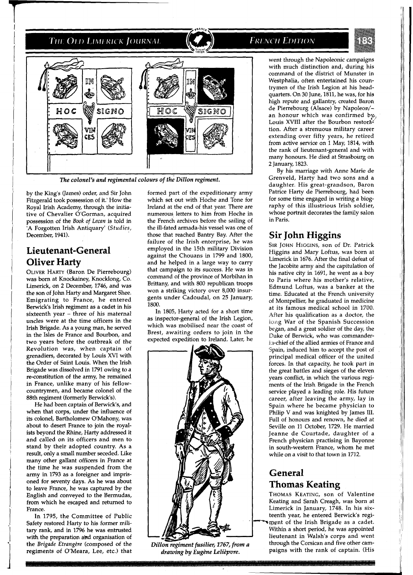

*The colonel's and regimental colours of thi Dillon regiment.* 

by the King's (James) order, and Sir John Fitzgerald took possession of it.' How the Royal Irish Academy, through the initiative of Chevalier O'Gorman, acquired possession of the Book of Lecan is told in 'A Forgotten Irish Antiquary' **(Studies,**  December, 1941).

## **Lieutenant-General Oliver Harty**

OLIVER HARTY (Baron De Pierrebourg) was born at Knockainey, Knocklong, Co. Limerick, on **2** December, 1746, and was the son of John Harty and Margaret Shee. Emigrating to France, he entered Berwick's Irish regiment as a cadet in his sixteenth year - three of his maternal uncles were at the time officers in the Irish Brigade. As a young man, he served in the Isles de France and Bourbon, and two years before the outbreak of the Revolution was, when captain of grenadiers, decorated by Louis XVI with the Order of Saint Louis. When the Irish Brigade was dissolved in 1791 owing to a re-constitution of the army, he remained in France, unlike many of his fellowcountrymen, and became colonel of the 88th regiment (formerly Berwick's).

He had been captain of Berwick's, and when that corps, under the influence of its colonel, Bartholomew O'Mahony, was about to desert France to join the royalists beyond the Rhine, Harty addressed it and called on its officers and men to stand by their adopted country. As a result, only a small number seceded. Like many other gallant officers in France at the time he was suspended from the army in 1793 as a foreigner and imprisoned for seventy days. As he was about to leave France, he was captured by the English and conveyed to the Bermudas, from which he escaped and returned to France.

In 1795, the Committee of Public Safety restored Harty to his former military rank, and in 1796 he was entrusted with the preparation and organisation of the *Brigade Etrangire* (composed of the regiments of O'Meara, Lee, etc.) that formed part of the expeditionary army which set out with Hoche and Tone for Ireland at the end of that year. There are numerous letters to him from Hoche in the French archives before the sailing of the ill-fated armada-his vessel was one of those that reached Bantry Bay. After the failure of the Irish enterprise, he was employed in the 15th military Division against the Chouans in 1799 and 1800, and he helped in a large way to carry that campaign to its success. He was in command of the province of Morbihan in Brittany, and with 800 republican troops won a striking victory over 8,000 insurgents under Cadoudal, on 25 January, 1800.

In 1805, Harty acted for a short time as inspector-general of the Irish Legion, which was mobilised near the coast of Brest, awaiting orders to join in the expected expedition to Ireland. Later, he



Dillon regiment fusilier, 1767, from a drawing by Eugène Lelièpvre.

### **FRENCH EDITION**

went through the Napoleonic campaigns with much distinction and, during his command of the district of Munster in Westphalia, often entertained his countrymen of the Irish Legion at his headquarters. On 30 June, 1811, he was, for his high repute and gallantry, created Baron de Pierrebourg (Alsace) by Napoleon/an honour which was confirmed by, Louis XVIII after the Bourbon restora<sup>t</sup> tion. After a strenuous military career extending over fifty years, he retired from active service on 1 May, 1814, with the rank of lieutenant-general and with many honours. He died at Strasbourg on 2 January, 1823.

By his marriage with Anne Marie de Grenveld, Harty had two sons and a daughter. His great-grandson, Baron Patrice Harty de Pierrebourg, had been for some time engaged in writing a biography of this illustrious Irish soldier, whose portrait decorates the family salon in Paris.

### **Sir John Higgins**

SIR JOHN HIGGINS, son of Dr. Patrick Higgins and Mary Loftus, was born at Limerick in 1676. After the final defeat of the Jacobite army and the capitulation of his native city in 1691, he went as a boy to Paris where his mother's relative, Edmund Loftus, was a banker at the time. Educated at the French university of Montpellier, he graduated in medicine at its famous medical school in 1700. After his qualification as a doctor, the iong War of the Spanish Succession began, and a great soldier of the day, the Euke of Berwick, who was commanderi.1-chief of the allied armies of France and 5pain, induced him to accept the post of principal medical officer of the united forces. In that capacity, he took part in the great battles and sieges of the eleven years conflict, in which the various regiments of the Irish Brigade in the French service played a leading role. His future career, after leaving the army, lay in Spain where he became physician to Philip V and was knighted by James III. Full of honours and renown, he died at Seville on 11 October, 1729. He married Jeanne de Courtade, daughter of a French physician practising in Bayonne in south-western France, whom he met while on a visit to that town in 1712.

### **General Thomas Keating**

THOMAS KEATING, son of Valentine Keating and Sarah Creagh, was born at Limerick in January, 1748. In his sixteenth year, he entered Berwick's regi ment of the Irish Brigade as a cadet. Within a short period, he was appointed lieutenant in Walsh's corps and went through the Corsican and five other campaigns with the rank of captain. (His

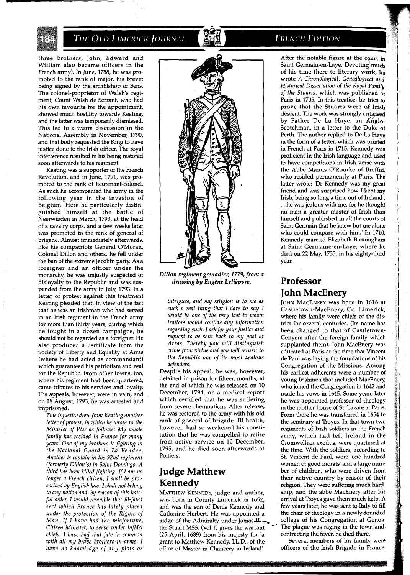three brothers, John, Edward and William also became officers in the French army). In June, 1788, he was promoted to the rank of major, his brevet being signed by the.archbishop of Sens. The colonel-proprietor of Walsh's regiment, Count Walsh de Serrant, who had his own favourite for the appointment, showed much hostility towards Keating, and the latter was temporarily dismissed. This led to a warm discussion in the National Assembly in November, 1790, and that body requested the King to have justice done to the Irish officer. The royal interference resulted in his being restored soon afterwards to his regiment.

Keating was a supporter of the French Revolution, and in June, 1791, was promoted to the rank of lieutenant-colonel. As such he accompanied the army in the following year in the invasion of Belgium. Here he particularly distinguished himself at the Battle of Neerwinden in March, 1793, at the head of a cavalry corps, and a few weeks later was promoted to the rank of general of brigade. Almost immediately afterwards, like his compatriots General O'Moran, Colonel Dillon and others, he fell under the ban of the extreme Jacobin party. As a foreigner and an officer under the monarchy, he was unjustly suspected of disloyalty to the Republic and was suspended from the army in July, 1793. In a letter of protest against this treatment Keating pleaded that, in view of the fact that he was an Irishman who had served in an Irish regiment in the French army for more than thirty years, during which he fought in a dozen campaigns, he should not be regarded as a foreigner. He also produced a certificate from the Society of Liberty and Equality at Arras (where he had acted as commandant) which guaranteed his patriotism and zeal for the Republic. From other towns, too, where his regiment had been quartered, came tributes to his services and loyalty His appeals, however, were in vain, and on 18 August, 1793, he was arrested and imprisoned.

*This injustice drew from Keating another letter of protest, in which he wrote to the Minister of War as follows: My whole family has resided in France for many years. One of my brothers is fighting in the National Guard in La Vendee. Another is captain in the 92nd regiment (formerly Dillon's) in Saint Domingo. A third has been killed fighting. If I am no longer a French citizen, I shall be pro scribed by English law; I shall not belong to any nation and, by reason of this hateful order, I would resemble that ill-fated sect which France has lately placed under the protection of the Rights of Man. If I have had the misfortune, Citizen Minister, to serve under infidel chiefs, I have h@ that fate in common*   $with$  all my brave brothers-in-arms. I *have no knowledge of any plots or* 



*Dillon regiment grenadier, 1779, from a drawing by Eug2ne Leli2pvre.* 

*intrigues, and my religion is to me as such a real thing that I dare to say I would be one of the very last to whom traitors would confide any information regarding such. I ask for your justice and request to be sent back to my post at Arras. Thereby you will distinguish crime from virtue and you will return to the Republic one of its most zealous defenders.* 

Despite his appeal, he was, however, detained in prison for fifteen months, at the end of which he was released on 10 December, 1794, on a medical report which certified that he was suffering from severe rheumatism. After release, he was restored to the army with his old rank of general of brigade. Ill-health, however, had so weakened his constitution that he was compelled to retire from active service on 10 December, 1795, and he died soon afterwards at Poitiers.

## **Judge Matthew Kennedy**

MATTHEW KENNEDY, judge and author, was born in County Limerick in 1652, and was the son of Denis Kennedy and Catherine Herbert. He was appointed a judge of the Admiralty under James  $\mu$  college of his Congregation at Genoa.<br>the Stuart MSS. (Vol 1) gives the warrant The plague was raging in the town and, (25 April, 1689) from his majesty for 'a contracting the fever, he died there.<br>
grant to Matthew Kennedy, LL.D., of the Several members of his family were grant to Matthew Kennedy, LL.D., of the Several members of his family were<br>office of Master in Chancery in Ireland'. officers of the Irish Brigade in France. office of Master in Chancery in Ireland'.

### **FRENCH EDITION**

After the notable figure at the court in Saint Germain-en-Laye. Devoting much of his time there to literary work, he wrote *A Chronological, Genealogical and Historical Dissertation of the Royal Family of the Stuarts,* which was published at Paris in 1705. In this treatise, he tries to prove that the Stuarts were of Irish descent. The work was strongly criticised by Father De La Haye, an Ahglo-Scotchman, in a letter to the Duke of Perth. The author replied to De La Haye in the form of a letter, which was printed in French at Paris in 1715. Kennedy was proficient in the Irish language and used to have competitions in Irish verse with the Abbe Manus O'Rourke of Breffni, who resided permanently at Paris. The latter wrote: 'Dr Kennedy was my great friend and was surprised how I kept my Irish, being so long a time out of Ireland. . . he was jealous with me, for he thought no man a greater master of Irish than himself and published in all the courts of Saint Germain that he knew but me alone who could compare with him.' In 1710, Kennedy married Elizabeth Birmingham at Saint Germaine-en-Laye, where he died on 22 May, 1735, in his eighty-third year.

# **Professor John MacEnery**

JOHN MACENERY was born in 1616 at Castletown-MacEnery, Co. Limerick, where his family were chiefs of the district for several centuries. (Its name has been changed to that of Castletown-Conyers after the foreign family which supplanted them). John MacEnery was educated at Paris at the time that Vincent de'Paul was laying the foundations of his Congregation of the Missions. Among his earliest adherents were a number of young Irishmen that included MacEnery, who joined the Congregation in 1642 and made his vows in 1645. Some years later he was appointed professor of theology in the mother house of St. Lazare at Paris. From there he was transferred in 1654 to the seminary at Troyes. In that town two regiments of Irish soldiers in the French army, which had left Ireland in the Cromwellian exodus, were quartered at the time. With the soldiers, according to St. Vincent de Paul. were 'one hundred women of good morals' and a large number of children, who were driven from their native country by reason of their religion. They were suffering much hardship, and the abbe MacEnery after his arrival at Troyes gave them much help. **A**  few years later, he was sent to Italy to fill the chair of theology in a newly-founded The plague was raging in the town and, contracting the fever, he died there.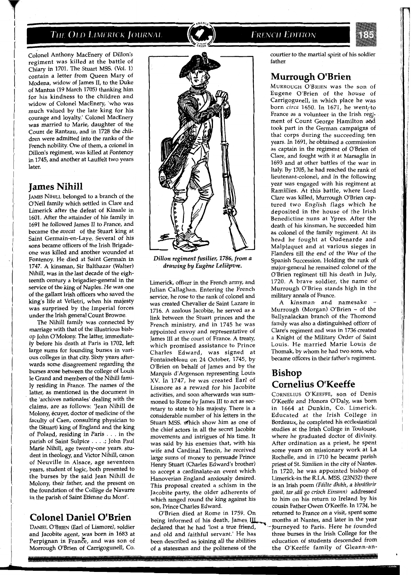#### The Old Limerick Journal



**FRENCH EDITION** 



Colonel Anthony MacEnery of Dillon's regiment was killed at the battle of Chiary in 1701. The Stuart MSS. (Vol. 1) contain a letter from Queen Mary of Modena, widow of James 11, to the Duke of Mantua (19 March 1705) thanking him for his kindness to the children and widow of Colonel MacEnery, 'who was much valued by the late king for his courage and loyalty.' Colonel MacEnery was married to Marie, daughter of the Count de Rantzau, and in 1728 the children were admitted into the ranks of the French nobility. One of them, a colonel in Dillon's regiment, was killed at Fontenoy in 1745, and another at Lauffelt two years later.

#### **James Nihill**

JAMES NIHILL belonged to a branch of the O'Neil family which settled in Clare and Limerick after the defeat of Kinsale in 1601. After the attainder of his family in 1691 he followed James I1 to France, and became the avocat of the Stuart king at Saint Germain-en-Laye. Several of his sons became officers of the Irish Brigadeone was killed and another wounded at Fontenoy. He died at Saint Germain in 1747. A kinsman, Sir Balthazar (Walter) Nihill, was in the last decade of the eighteenth century a brigadier-general in the service of the king of Naples. He was one of the gallant Irish officers who saved the king's life at Velletri, when his majesty was surprised by the Imperial forces under the Irish general Count Browne.

The Nihill family was connected by marriage with that of the illustrious bishop John O'Molony. The latter, immediately before his death at Paris in 1702, left large sums for founding burses in various colleges in that city. Sixty years afterwards some disagreement regarding the burses arose between the college of Louis le Grand and members of the Nihill family residing in France. The names of the latter, as mentioned in the document in the 'archives nationales' dealing with the claims, are as follows: 'Jean Nihill de Molony, écuyer, doctor of medicine of the faculty of Caen, consulting physician to the (Stuart) king of England and the king of Poland, residing in Paris . . . in the parish of Saint Sulpice . . . .; John Paul Marie Nihill, age twenty-one years, student in theology, and Victor Nihill, canon of Neuville in Alsace, age seventeen years, student of logic, both presented to the burses by the said Jean Nihill de Molony, their father, and the present on the foundation of the College de Navarre in the parish of Saint Etienne du Mont'.

### **Colonel Daniel O'Brien**

DANIEL O'BRIEN (Earl of Lismore), soldier and Jacobite agent, was born in 1683 at Perpignan in France, and was son of Morrough O'Brien of Carrigogunell, CO.



*Dillon regiment fusilier, 1786, from a drawing by Eugine Leliipvre.* 

Limerick, officer in the French army, and Julian Callaghan. Entering the French service, he rose to the rank of colonel and was created Chevalier de Saint Lazare in 1716. A zealous Jacobite, he served as a link between the Stuart princes and the French ministry, and in 1745 he was appointed envoy and representative of James 111 at the court of France. A treaty, which promised assistance to Prince Charles Edward, was signed at Fontainebleau on 24 October, 1745, by O'Brien on behalf of James and by the Marquis d'Argenson representing Louis XV. In 1747, he was created Earl of Lismore as a reward for his Jacobite activities, and soon afterwards was summoned to Rome by James III to act as secretary to state to his majesty. There is a considerable number of his letters in the Stuart MSS. which show him as one of the chief actors in all the secret Jacobite movements and intrigues of his time. It was said by his enemies that, with his wife and Cardinal Tencin, he received large sums of money to persuade Prince Henry Stuart (Charles Edward's brother) to accept a cardinalate-an event which Hanoverian England anxiously desired. This proposal created a schism in the Jacobite party, the older adherents of which ranged round the king against his son. Prince Charles Edward.

O'Brien died at Rome in 1759. On being informed of his death, James III months at Nantes, and later in the year declared that he had 'lost a true friend, separated to Paris. Here he founded and old and faithful servant.' He has three burses in the Irish College for the been described as joining all the abilities education of students descended from of a statesman and the politeness of the the O'Keeffe family of Gleann-an-

courtier to the martial spirit of his soldier father.

### **Murrough O'Brien**

MURROUGH O'BRIEN was the son of Eugene O'Brien of the house of Carrigogunell, in which place he was born circa 1650. In 1671, he went/to France as a volunteer in the Irish regiment of Count George Hamilton and took part in the German campaigns of that corps during the succeeding ten years. In 1691, he obtained a commission as captain in the regiment of O'Brien of Clare, and fought with it at Marsaglia in 1693 and at other battles of the war in Italy. By 1705, he had reached the rank of lieutenant-colonel, and in the following year was engaged with his regiment at Ramillies. At this battle, where Lord Clare was killed, Murrough O'Brien captured two English flags which he deposited in the house of the Irish Benedictine nuns at Ypres. After the death of his kinsman, he succeeded him as colonel of the family regiment. At its head he fought at Oudenarde and Malplaquet and at various sieges in Flanders till the end of the War of the Spanish Succession. Holding the rank of major-general he remained colonel of the O'Brien regiment till his death in July, 1720. A brave soldier, the name of Murrough O'Brien stands high in the military annals of France.

A kinsman and namesake –<br>Murrough (Morgan) O'Brien – of the Ballynalackan branch of the Thomond family was also a distinguished officer of Clare's regiment and was in 1736 created a Knight of the Military Order of Saint Louis. He married Marie Louis de Thomak, by whom he had two sons, who became officers in their father's regiment.

### **Bishop Cornelius O'Keeffe**

CORNELIUS O'KEEFFE, son of Denis O'Keeffe and Honora O'Daly, was born in 1664 at Dunkin, Co. Limerick. Educated at the Irish College in Bordeaux, he completed his ecclesiastical studies at the Irish College in Toulouse, where he graduated doctor of divinity. After ordination as a priest, he spent some years on missionary work at La Rochelle, and in 1710 he became parish priest of St. Similien in the city of Nantes. In 1720, he was appointed bishop of Limerick-in the R.I.A. MSS. (23N32) there is an Irish poem (Fáilte dhíbh, a bhráthrir gaoil, tar sáil go críoch Eireann) addressed to him on his return to Ireland by his cousin Father Owen O'Keeffe. In 1734, he returned to France on a visit, spent some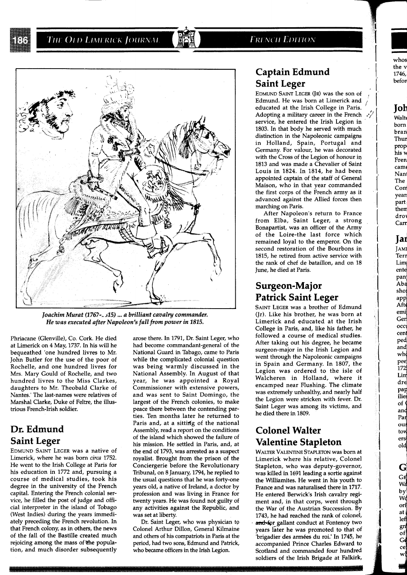#### **FRENCH EDITION**



*Joachim Murat (1767-, 315)* ... *a brilliant cavalry commander. He was executed after Napoleon's fall from power in 1815.* 

Phriacane (Glenville), Co. Cork. He died at Limerick on **4** May, **1737.** In his will he bequeathed 'one hundred livres to Mr. John Butler for the use of the poor of Rochelle, and one hundred livres for Mrs. Mary Gould of Rochelle, and two hundred livres to the Miss Clarkes, daughters to Mr. Theobald Clarke of Nantes.' The last-names were relatives of Marshal Clarke, Duke of Feltre, the illustrious French-Irish soldier.

## **Dr. Edmund Saint Leger**

EDMUND SAINT LEGER was a native of Limerick, where he was born *circa* **1752.**  He went to the Irish College at Paris for his education in **1772** and, pursuing a course of medical studies, took his degree in the university of the French capital. Entering the French colonial service, he filled the post of judge and official interpreter in the island of Tobago (West Indies) during the years immediately preceding the French revolution. In that French colony, as in others, the news of the fall of the Bastille created much rejoicing among the mass of the population, and much disorder subsequently arose there. In **1791,** Dr. Saint Leger, who had become commandant-general of the National Guard in Tabago, came to Paris while the complicated colonial question was being warmly discussed in the National Assembly. In August of that year, he was appointed a Royal Commissioner with extensive powers, and was sent to Saint Domingo, the largest of the French colonies, to make peace there between the contending parties. Ten months later he returned to Paris and, at a sitting of the national Assembly, read a report on the conditions of the island which showed the failure of his mission. He settled in Paris, and, at the end of **1793,** was arrested as a suspect royalist. Brought from the prison of the Conciergerie before the Revolutionary Tribunal, on **8** January, **1794,** he replied to the usual questions that he was forty-one years old, a native of Ireland, a doctor by profession and was living in France for twenty years. He was found not guilty of any activities against the Republic, and was set at liberty.

Dr. Saint Leger, who was physician to Colonel Arthur Dillon, General Kilmaine and others of his compatriots in Paris at the period, had two sons, Edmund and Patrick, who became officers in the Irish Legion.

## **Captain Edmund Saint Leger**

EDMUND SAINT LEGER (JR) was the son of , Edmund. He was born at Limerick and /' educated at the Irish College in Paris. Adopting a military career in the French  $\sqrt{\frac{2}{n}}$  service, he entered the Irish Legion in **1803.** In that body he served with much distinction in the Napoleonic campaigns in Holland, Spain, Portugal and Germany. For valour, he was decorated with the Cross of the Legion of honour in **1813** and was made a Chevalier of Saint Louis in **1824.** In **1814,** he had been appointed captain of the staff of General Maison, who in that year commanded the first corps of the French army as it advanced against the Allied forces then marching on Paris.

After Napoleon's return to France from Elba, Saint Leger, a strong Bonapartist, was an officer of the Army of the Loire-the last force which remained loyal to the emperor. On the second restoration of the Bourbons in **1815,** he retired from active service with the rank of chef de bataillon, and on **18**  June, he died at Paris.

## **Surgeon-Major Patrick Saint Leger**

SAINT LEGER was a brother of Edmund (Jr). Like his brother, he was born at Limerick and educated at the Irish College in Paris, and, like his father, he followed a course of medical studies. After taking out his degree, he became surgeon-major in the Irish Legion and went through the Napoleonic campaigns in Spain and Germany. In **1807,** the Legion was ordered to the isle of Walcheren in Holland, where it encamped near Flushing. The climate was extremely unhealthy, and nearly half the Legion were stricken with fever. Dr. Saint Leger was among its victims, and he died there in **1809.** 

## **Colonel Walter Valentine Stapleton**

WALTER VALENTINE STAPLETON was born at Limerick where his relative, Colonel Stapleton, who was deputy-governor, was killed in **1691** leading a sortie against the Williamites. He went in his youth to France and was naturalised there in **1717.**  He entered Berwick's Irish cavalry regiment and, in that corps, went through the War of the Austrian Succession. By **1743,** he had reached the rank of colonel, and-for gallant conduct at Fontenoy two years later he was promoted to that of 'brigadier des armees du roi.' In **1745,** he accompanied Prince Charles Edward to Scotland and commanded four hundred soldiers of the Irish Brigade at Falkirk, **1** 

whos the v **1746,**  befon

# **Joh**

Walte born bran Thur Prop' his v Fren cam( Nanl The Con year! part then dro

# **Jar**

Carr

JAMI Terr Lim ente pan Aba sho; app Afte emi Ger occi cent ped<br>and who pee .<br>172 Lin dre pap ilies  $of ($ and Par ou tow ers old

G  $\frac{1}{N}$ by<br>We

orĺ at  $left$  $gr<sub>i</sub>$ of<br>Ge